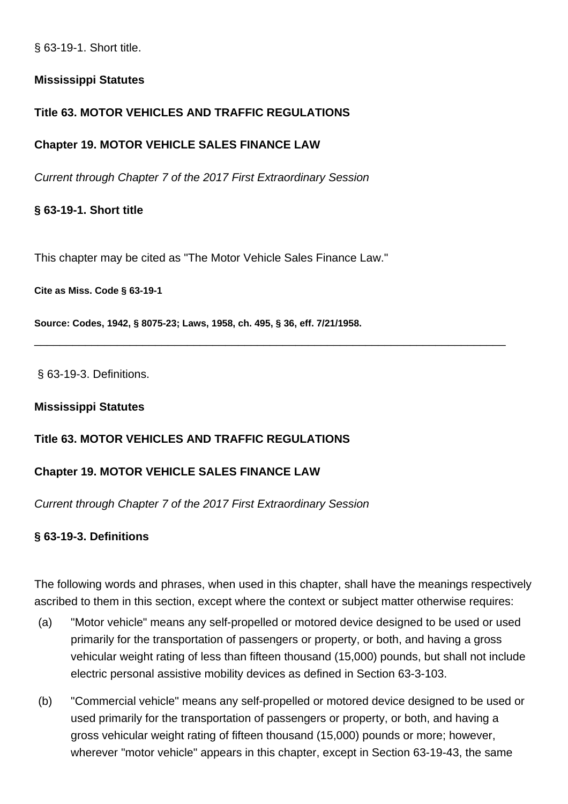§ 63-19-1. Short title.

## **Mississippi Statutes**

# **Title 63. MOTOR VEHICLES AND TRAFFIC REGULATIONS**

## **Chapter 19. MOTOR VEHICLE SALES FINANCE LAW**

Current through Chapter 7 of the 2017 First Extraordinary Session

## **§ 63-19-1. Short title**

This chapter may be cited as "The Motor Vehicle Sales Finance Law."

**Cite as Miss. Code § 63-19-1**

**Source: Codes, 1942, § 8075-23; Laws, 1958, ch. 495, § 36, eff. 7/21/1958.**

§ 63-19-3. Definitions.

#### **Mississippi Statutes**

# **Title 63. MOTOR VEHICLES AND TRAFFIC REGULATIONS**

## **Chapter 19. MOTOR VEHICLE SALES FINANCE LAW**

Current through Chapter 7 of the 2017 First Extraordinary Session

## **§ 63-19-3. Definitions**

The following words and phrases, when used in this chapter, shall have the meanings respectively ascribed to them in this section, except where the context or subject matter otherwise requires:

\_\_\_\_\_\_\_\_\_\_\_\_\_\_\_\_\_\_\_\_\_\_\_\_\_\_\_\_\_\_\_\_\_\_\_\_\_\_\_\_\_\_\_\_\_\_\_\_\_\_\_\_\_\_\_\_\_\_\_\_\_\_\_\_\_\_\_\_\_\_\_\_\_\_

- (a) "Motor vehicle" means any self-propelled or motored device designed to be used or used primarily for the transportation of passengers or property, or both, and having a gross vehicular weight rating of less than fifteen thousand (15,000) pounds, but shall not include electric personal assistive mobility devices as defined in Section 63-3-103.
- (b) "Commercial vehicle" means any self-propelled or motored device designed to be used or used primarily for the transportation of passengers or property, or both, and having a gross vehicular weight rating of fifteen thousand (15,000) pounds or more; however, wherever "motor vehicle" appears in this chapter, except in Section 63-19-43, the same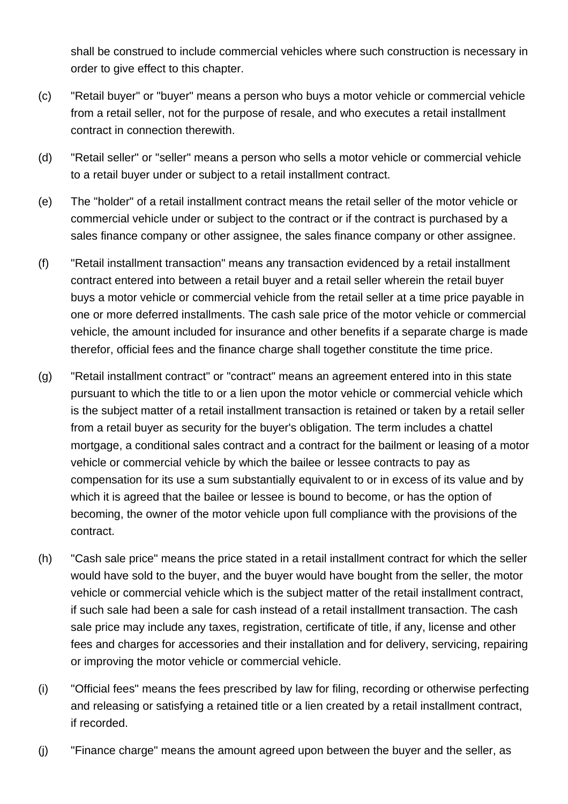shall be construed to include commercial vehicles where such construction is necessary in order to give effect to this chapter.

- (c) "Retail buyer" or "buyer" means a person who buys a motor vehicle or commercial vehicle from a retail seller, not for the purpose of resale, and who executes a retail installment contract in connection therewith.
- (d) "Retail seller" or "seller" means a person who sells a motor vehicle or commercial vehicle to a retail buyer under or subject to a retail installment contract.
- (e) The "holder" of a retail installment contract means the retail seller of the motor vehicle or commercial vehicle under or subject to the contract or if the contract is purchased by a sales finance company or other assignee, the sales finance company or other assignee.
- (f) "Retail installment transaction" means any transaction evidenced by a retail installment contract entered into between a retail buyer and a retail seller wherein the retail buyer buys a motor vehicle or commercial vehicle from the retail seller at a time price payable in one or more deferred installments. The cash sale price of the motor vehicle or commercial vehicle, the amount included for insurance and other benefits if a separate charge is made therefor, official fees and the finance charge shall together constitute the time price.
- (g) "Retail installment contract" or "contract" means an agreement entered into in this state pursuant to which the title to or a lien upon the motor vehicle or commercial vehicle which is the subject matter of a retail installment transaction is retained or taken by a retail seller from a retail buyer as security for the buyer's obligation. The term includes a chattel mortgage, a conditional sales contract and a contract for the bailment or leasing of a motor vehicle or commercial vehicle by which the bailee or lessee contracts to pay as compensation for its use a sum substantially equivalent to or in excess of its value and by which it is agreed that the bailee or lessee is bound to become, or has the option of becoming, the owner of the motor vehicle upon full compliance with the provisions of the contract.
- (h) "Cash sale price" means the price stated in a retail installment contract for which the seller would have sold to the buyer, and the buyer would have bought from the seller, the motor vehicle or commercial vehicle which is the subject matter of the retail installment contract, if such sale had been a sale for cash instead of a retail installment transaction. The cash sale price may include any taxes, registration, certificate of title, if any, license and other fees and charges for accessories and their installation and for delivery, servicing, repairing or improving the motor vehicle or commercial vehicle.
- (i) "Official fees" means the fees prescribed by law for filing, recording or otherwise perfecting and releasing or satisfying a retained title or a lien created by a retail installment contract, if recorded.
- (j) "Finance charge" means the amount agreed upon between the buyer and the seller, as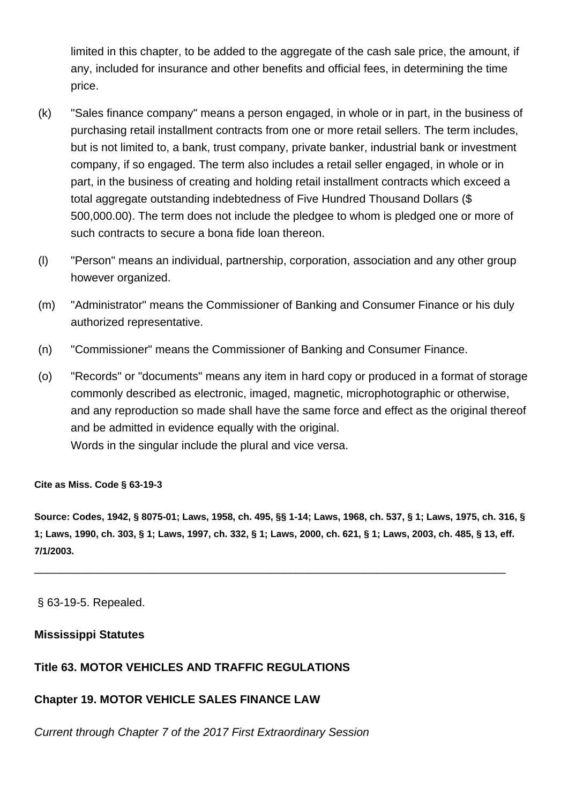limited in this chapter, to be added to the aggregate of the cash sale price, the amount, if any, included for insurance and other benefits and official fees, in determining the time price.

- (k) "Sales finance company" means a person engaged, in whole or in part, in the business of purchasing retail installment contracts from one or more retail sellers. The term includes, but is not limited to, a bank, trust company, private banker, industrial bank or investment company, if so engaged. The term also includes a retail seller engaged, in whole or in part, in the business of creating and holding retail installment contracts which exceed a total aggregate outstanding indebtedness of Five Hundred Thousand Dollars (\$ 500,000.00). The term does not include the pledgee to whom is pledged one or more of such contracts to secure a bona fide loan thereon.
- (l) "Person" means an individual, partnership, corporation, association and any other group however organized.
- (m) "Administrator" means the Commissioner of Banking and Consumer Finance or his duly authorized representative.
- (n) "Commissioner" means the Commissioner of Banking and Consumer Finance.
- (o) "Records" or "documents" means any item in hard copy or produced in a format of storage commonly described as electronic, imaged, magnetic, microphotographic or otherwise, and any reproduction so made shall have the same force and effect as the original thereof and be admitted in evidence equally with the original. Words in the singular include the plural and vice versa.

#### **Cite as Miss. Code § 63-19-3**

**Source: Codes, 1942, § 8075-01; Laws, 1958, ch. 495, §§ 1-14; Laws, 1968, ch. 537, § 1; Laws, 1975, ch. 316, § 1; Laws, 1990, ch. 303, § 1; Laws, 1997, ch. 332, § 1; Laws, 2000, ch. 621, § 1; Laws, 2003, ch. 485, § 13, eff. 7/1/2003.**

\_\_\_\_\_\_\_\_\_\_\_\_\_\_\_\_\_\_\_\_\_\_\_\_\_\_\_\_\_\_\_\_\_\_\_\_\_\_\_\_\_\_\_\_\_\_\_\_\_\_\_\_\_\_\_\_\_\_\_\_\_\_\_\_\_\_\_\_\_\_\_\_\_\_

## § 63-19-5. Repealed.

#### **Mississippi Statutes**

## **Title 63. MOTOR VEHICLES AND TRAFFIC REGULATIONS**

## **Chapter 19. MOTOR VEHICLE SALES FINANCE LAW**

Current through Chapter 7 of the 2017 First Extraordinary Session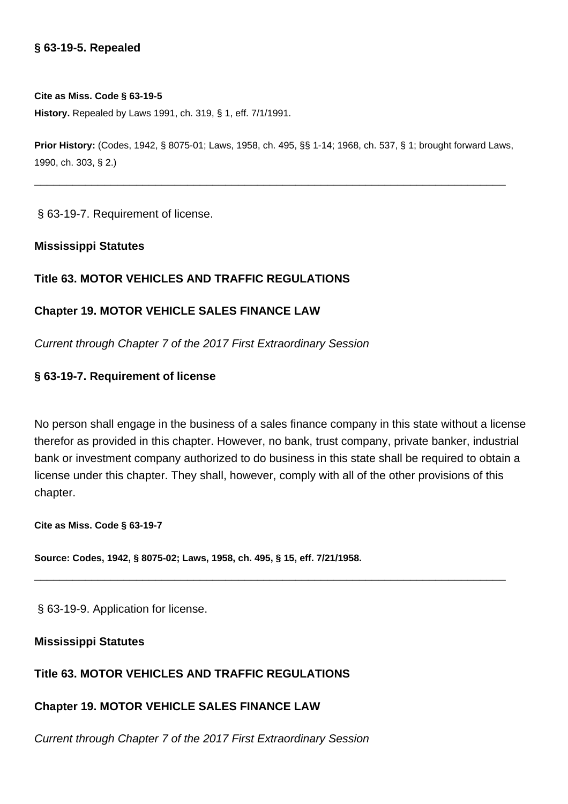#### **§ 63-19-5. Repealed**

#### **Cite as Miss. Code § 63-19-5**

**History.** Repealed by Laws 1991, ch. 319, § 1, eff. 7/1/1991.

**Prior History:** (Codes, 1942, § 8075-01; Laws, 1958, ch. 495, §§ 1-14; 1968, ch. 537, § 1; brought forward Laws, 1990, ch. 303, § 2.)

\_\_\_\_\_\_\_\_\_\_\_\_\_\_\_\_\_\_\_\_\_\_\_\_\_\_\_\_\_\_\_\_\_\_\_\_\_\_\_\_\_\_\_\_\_\_\_\_\_\_\_\_\_\_\_\_\_\_\_\_\_\_\_\_\_\_\_\_\_\_\_\_\_\_

§ 63-19-7. Requirement of license.

#### **Mississippi Statutes**

#### **Title 63. MOTOR VEHICLES AND TRAFFIC REGULATIONS**

#### **Chapter 19. MOTOR VEHICLE SALES FINANCE LAW**

Current through Chapter 7 of the 2017 First Extraordinary Session

#### **§ 63-19-7. Requirement of license**

No person shall engage in the business of a sales finance company in this state without a license therefor as provided in this chapter. However, no bank, trust company, private banker, industrial bank or investment company authorized to do business in this state shall be required to obtain a license under this chapter. They shall, however, comply with all of the other provisions of this chapter.

\_\_\_\_\_\_\_\_\_\_\_\_\_\_\_\_\_\_\_\_\_\_\_\_\_\_\_\_\_\_\_\_\_\_\_\_\_\_\_\_\_\_\_\_\_\_\_\_\_\_\_\_\_\_\_\_\_\_\_\_\_\_\_\_\_\_\_\_\_\_\_\_\_\_

**Cite as Miss. Code § 63-19-7**

**Source: Codes, 1942, § 8075-02; Laws, 1958, ch. 495, § 15, eff. 7/21/1958.**

§ 63-19-9. Application for license.

#### **Mississippi Statutes**

#### **Title 63. MOTOR VEHICLES AND TRAFFIC REGULATIONS**

#### **Chapter 19. MOTOR VEHICLE SALES FINANCE LAW**

Current through Chapter 7 of the 2017 First Extraordinary Session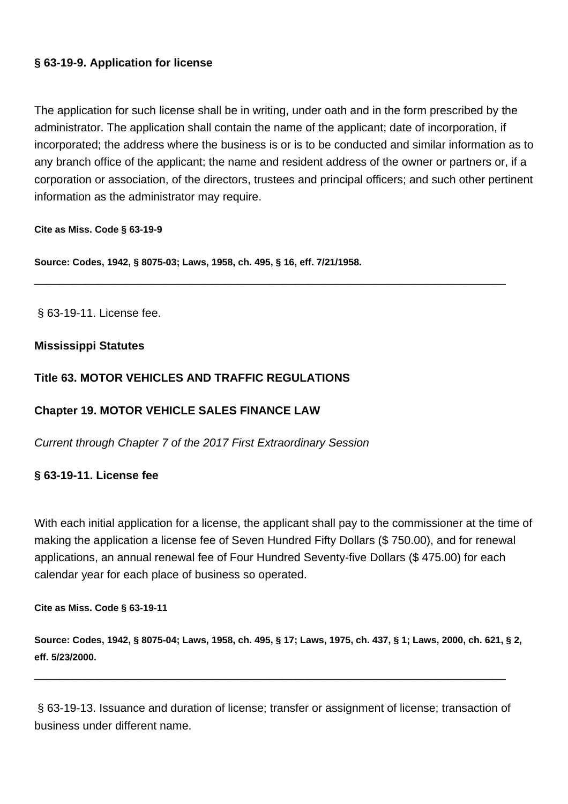# **§ 63-19-9. Application for license**

The application for such license shall be in writing, under oath and in the form prescribed by the administrator. The application shall contain the name of the applicant; date of incorporation, if incorporated; the address where the business is or is to be conducted and similar information as to any branch office of the applicant; the name and resident address of the owner or partners or, if a corporation or association, of the directors, trustees and principal officers; and such other pertinent information as the administrator may require.

\_\_\_\_\_\_\_\_\_\_\_\_\_\_\_\_\_\_\_\_\_\_\_\_\_\_\_\_\_\_\_\_\_\_\_\_\_\_\_\_\_\_\_\_\_\_\_\_\_\_\_\_\_\_\_\_\_\_\_\_\_\_\_\_\_\_\_\_\_\_\_\_\_\_

**Cite as Miss. Code § 63-19-9**

**Source: Codes, 1942, § 8075-03; Laws, 1958, ch. 495, § 16, eff. 7/21/1958.**

§ 63-19-11. License fee.

## **Mississippi Statutes**

# **Title 63. MOTOR VEHICLES AND TRAFFIC REGULATIONS**

# **Chapter 19. MOTOR VEHICLE SALES FINANCE LAW**

Current through Chapter 7 of the 2017 First Extraordinary Session

# **§ 63-19-11. License fee**

With each initial application for a license, the applicant shall pay to the commissioner at the time of making the application a license fee of Seven Hundred Fifty Dollars (\$ 750.00), and for renewal applications, an annual renewal fee of Four Hundred Seventy-five Dollars (\$ 475.00) for each calendar year for each place of business so operated.

**Cite as Miss. Code § 63-19-11**

**Source: Codes, 1942, § 8075-04; Laws, 1958, ch. 495, § 17; Laws, 1975, ch. 437, § 1; Laws, 2000, ch. 621, § 2, eff. 5/23/2000.**

§ 63-19-13. Issuance and duration of license; transfer or assignment of license; transaction of business under different name.

\_\_\_\_\_\_\_\_\_\_\_\_\_\_\_\_\_\_\_\_\_\_\_\_\_\_\_\_\_\_\_\_\_\_\_\_\_\_\_\_\_\_\_\_\_\_\_\_\_\_\_\_\_\_\_\_\_\_\_\_\_\_\_\_\_\_\_\_\_\_\_\_\_\_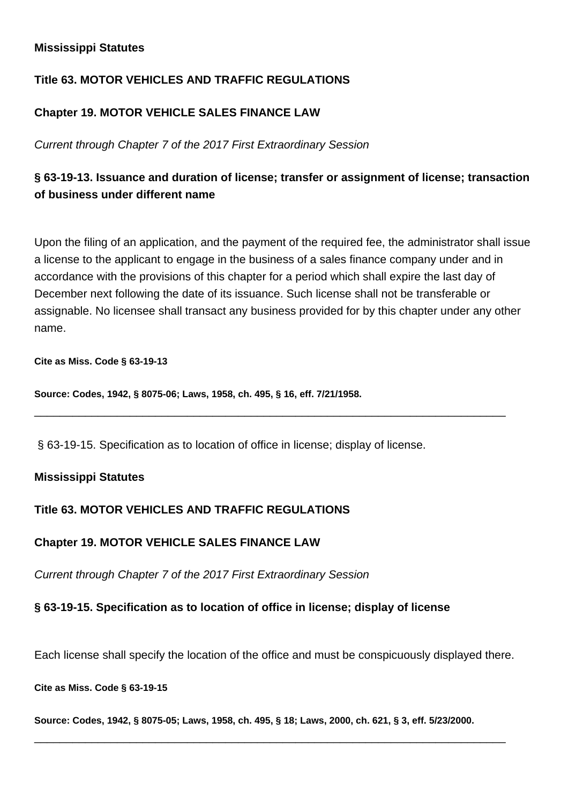## **Mississippi Statutes**

# **Title 63. MOTOR VEHICLES AND TRAFFIC REGULATIONS**

# **Chapter 19. MOTOR VEHICLE SALES FINANCE LAW**

Current through Chapter 7 of the 2017 First Extraordinary Session

# **§ 63-19-13. Issuance and duration of license; transfer or assignment of license; transaction of business under different name**

Upon the filing of an application, and the payment of the required fee, the administrator shall issue a license to the applicant to engage in the business of a sales finance company under and in accordance with the provisions of this chapter for a period which shall expire the last day of December next following the date of its issuance. Such license shall not be transferable or assignable. No licensee shall transact any business provided for by this chapter under any other name.

\_\_\_\_\_\_\_\_\_\_\_\_\_\_\_\_\_\_\_\_\_\_\_\_\_\_\_\_\_\_\_\_\_\_\_\_\_\_\_\_\_\_\_\_\_\_\_\_\_\_\_\_\_\_\_\_\_\_\_\_\_\_\_\_\_\_\_\_\_\_\_\_\_\_

#### **Cite as Miss. Code § 63-19-13**

**Source: Codes, 1942, § 8075-06; Laws, 1958, ch. 495, § 16, eff. 7/21/1958.**

§ 63-19-15. Specification as to location of office in license; display of license.

## **Mississippi Statutes**

# **Title 63. MOTOR VEHICLES AND TRAFFIC REGULATIONS**

# **Chapter 19. MOTOR VEHICLE SALES FINANCE LAW**

Current through Chapter 7 of the 2017 First Extraordinary Session

## **§ 63-19-15. Specification as to location of office in license; display of license**

Each license shall specify the location of the office and must be conspicuously displayed there.

#### **Cite as Miss. Code § 63-19-15**

**Source: Codes, 1942, § 8075-05; Laws, 1958, ch. 495, § 18; Laws, 2000, ch. 621, § 3, eff. 5/23/2000.**

\_\_\_\_\_\_\_\_\_\_\_\_\_\_\_\_\_\_\_\_\_\_\_\_\_\_\_\_\_\_\_\_\_\_\_\_\_\_\_\_\_\_\_\_\_\_\_\_\_\_\_\_\_\_\_\_\_\_\_\_\_\_\_\_\_\_\_\_\_\_\_\_\_\_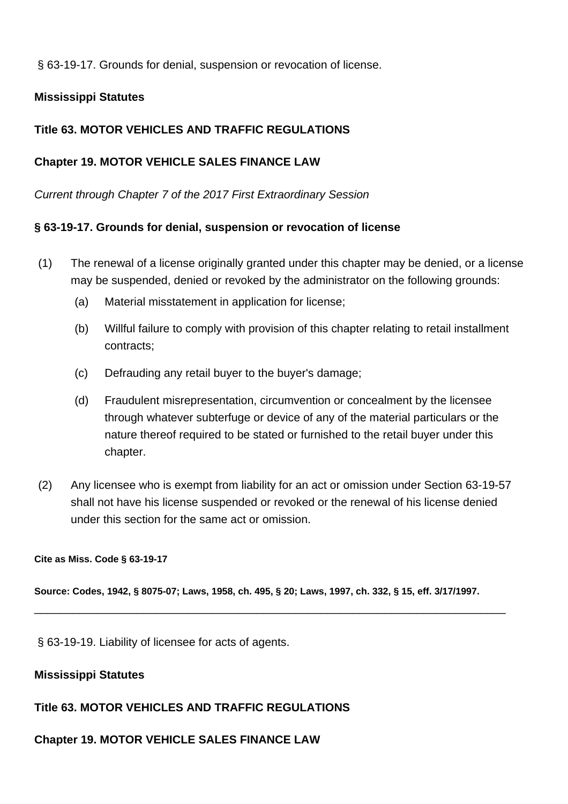§ 63-19-17. Grounds for denial, suspension or revocation of license.

# **Mississippi Statutes**

# **Title 63. MOTOR VEHICLES AND TRAFFIC REGULATIONS**

## **Chapter 19. MOTOR VEHICLE SALES FINANCE LAW**

Current through Chapter 7 of the 2017 First Extraordinary Session

## **§ 63-19-17. Grounds for denial, suspension or revocation of license**

- (1) The renewal of a license originally granted under this chapter may be denied, or a license may be suspended, denied or revoked by the administrator on the following grounds:
	- (a) Material misstatement in application for license;
	- (b) Willful failure to comply with provision of this chapter relating to retail installment contracts;
	- (c) Defrauding any retail buyer to the buyer's damage;
	- (d) Fraudulent misrepresentation, circumvention or concealment by the licensee through whatever subterfuge or device of any of the material particulars or the nature thereof required to be stated or furnished to the retail buyer under this chapter.
- (2) Any licensee who is exempt from liability for an act or omission under Section 63-19-57 shall not have his license suspended or revoked or the renewal of his license denied under this section for the same act or omission.

#### **Cite as Miss. Code § 63-19-17**

**Source: Codes, 1942, § 8075-07; Laws, 1958, ch. 495, § 20; Laws, 1997, ch. 332, § 15, eff. 3/17/1997.**

\_\_\_\_\_\_\_\_\_\_\_\_\_\_\_\_\_\_\_\_\_\_\_\_\_\_\_\_\_\_\_\_\_\_\_\_\_\_\_\_\_\_\_\_\_\_\_\_\_\_\_\_\_\_\_\_\_\_\_\_\_\_\_\_\_\_\_\_\_\_\_\_\_\_

§ 63-19-19. Liability of licensee for acts of agents.

## **Mississippi Statutes**

## **Title 63. MOTOR VEHICLES AND TRAFFIC REGULATIONS**

## **Chapter 19. MOTOR VEHICLE SALES FINANCE LAW**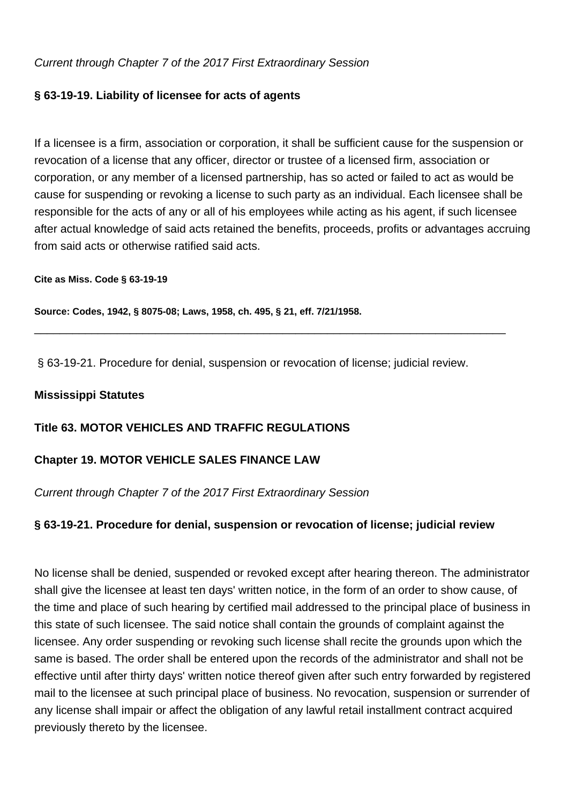Current through Chapter 7 of the 2017 First Extraordinary Session

# **§ 63-19-19. Liability of licensee for acts of agents**

If a licensee is a firm, association or corporation, it shall be sufficient cause for the suspension or revocation of a license that any officer, director or trustee of a licensed firm, association or corporation, or any member of a licensed partnership, has so acted or failed to act as would be cause for suspending or revoking a license to such party as an individual. Each licensee shall be responsible for the acts of any or all of his employees while acting as his agent, if such licensee after actual knowledge of said acts retained the benefits, proceeds, profits or advantages accruing from said acts or otherwise ratified said acts.

**Cite as Miss. Code § 63-19-19**

**Source: Codes, 1942, § 8075-08; Laws, 1958, ch. 495, § 21, eff. 7/21/1958.**

§ 63-19-21. Procedure for denial, suspension or revocation of license; judicial review.

\_\_\_\_\_\_\_\_\_\_\_\_\_\_\_\_\_\_\_\_\_\_\_\_\_\_\_\_\_\_\_\_\_\_\_\_\_\_\_\_\_\_\_\_\_\_\_\_\_\_\_\_\_\_\_\_\_\_\_\_\_\_\_\_\_\_\_\_\_\_\_\_\_\_

## **Mississippi Statutes**

## **Title 63. MOTOR VEHICLES AND TRAFFIC REGULATIONS**

## **Chapter 19. MOTOR VEHICLE SALES FINANCE LAW**

Current through Chapter 7 of the 2017 First Extraordinary Session

# **§ 63-19-21. Procedure for denial, suspension or revocation of license; judicial review**

No license shall be denied, suspended or revoked except after hearing thereon. The administrator shall give the licensee at least ten days' written notice, in the form of an order to show cause, of the time and place of such hearing by certified mail addressed to the principal place of business in this state of such licensee. The said notice shall contain the grounds of complaint against the licensee. Any order suspending or revoking such license shall recite the grounds upon which the same is based. The order shall be entered upon the records of the administrator and shall not be effective until after thirty days' written notice thereof given after such entry forwarded by registered mail to the licensee at such principal place of business. No revocation, suspension or surrender of any license shall impair or affect the obligation of any lawful retail installment contract acquired previously thereto by the licensee.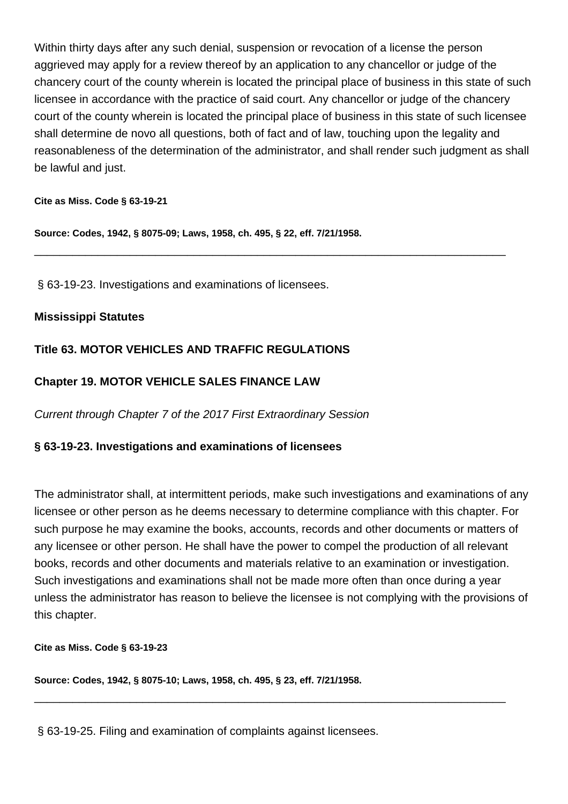Within thirty days after any such denial, suspension or revocation of a license the person aggrieved may apply for a review thereof by an application to any chancellor or judge of the chancery court of the county wherein is located the principal place of business in this state of such licensee in accordance with the practice of said court. Any chancellor or judge of the chancery court of the county wherein is located the principal place of business in this state of such licensee shall determine de novo all questions, both of fact and of law, touching upon the legality and reasonableness of the determination of the administrator, and shall render such judgment as shall be lawful and just.

\_\_\_\_\_\_\_\_\_\_\_\_\_\_\_\_\_\_\_\_\_\_\_\_\_\_\_\_\_\_\_\_\_\_\_\_\_\_\_\_\_\_\_\_\_\_\_\_\_\_\_\_\_\_\_\_\_\_\_\_\_\_\_\_\_\_\_\_\_\_\_\_\_\_

#### **Cite as Miss. Code § 63-19-21**

**Source: Codes, 1942, § 8075-09; Laws, 1958, ch. 495, § 22, eff. 7/21/1958.**

§ 63-19-23. Investigations and examinations of licensees.

## **Mississippi Statutes**

# **Title 63. MOTOR VEHICLES AND TRAFFIC REGULATIONS**

# **Chapter 19. MOTOR VEHICLE SALES FINANCE LAW**

Current through Chapter 7 of the 2017 First Extraordinary Session

# **§ 63-19-23. Investigations and examinations of licensees**

The administrator shall, at intermittent periods, make such investigations and examinations of any licensee or other person as he deems necessary to determine compliance with this chapter. For such purpose he may examine the books, accounts, records and other documents or matters of any licensee or other person. He shall have the power to compel the production of all relevant books, records and other documents and materials relative to an examination or investigation. Such investigations and examinations shall not be made more often than once during a year unless the administrator has reason to believe the licensee is not complying with the provisions of this chapter.

\_\_\_\_\_\_\_\_\_\_\_\_\_\_\_\_\_\_\_\_\_\_\_\_\_\_\_\_\_\_\_\_\_\_\_\_\_\_\_\_\_\_\_\_\_\_\_\_\_\_\_\_\_\_\_\_\_\_\_\_\_\_\_\_\_\_\_\_\_\_\_\_\_\_

**Cite as Miss. Code § 63-19-23**

**Source: Codes, 1942, § 8075-10; Laws, 1958, ch. 495, § 23, eff. 7/21/1958.**

§ 63-19-25. Filing and examination of complaints against licensees.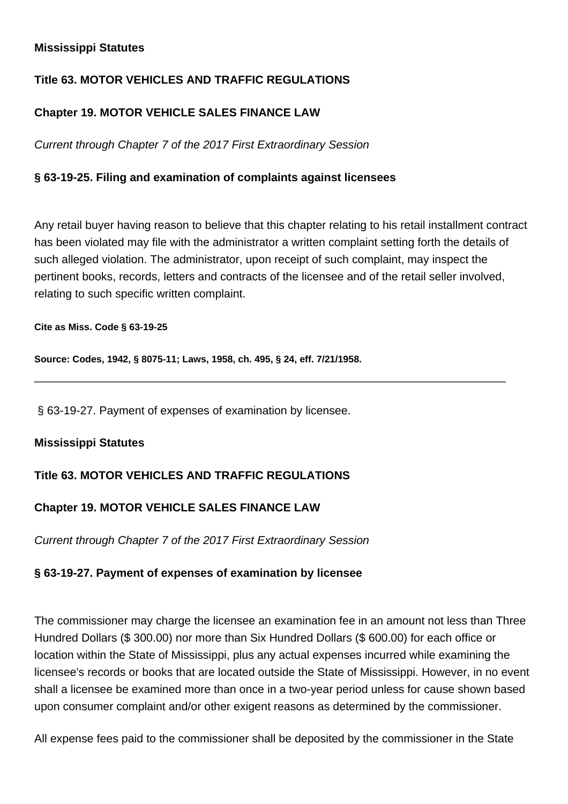# **Mississippi Statutes**

# **Title 63. MOTOR VEHICLES AND TRAFFIC REGULATIONS**

# **Chapter 19. MOTOR VEHICLE SALES FINANCE LAW**

Current through Chapter 7 of the 2017 First Extraordinary Session

# **§ 63-19-25. Filing and examination of complaints against licensees**

Any retail buyer having reason to believe that this chapter relating to his retail installment contract has been violated may file with the administrator a written complaint setting forth the details of such alleged violation. The administrator, upon receipt of such complaint, may inspect the pertinent books, records, letters and contracts of the licensee and of the retail seller involved, relating to such specific written complaint.

\_\_\_\_\_\_\_\_\_\_\_\_\_\_\_\_\_\_\_\_\_\_\_\_\_\_\_\_\_\_\_\_\_\_\_\_\_\_\_\_\_\_\_\_\_\_\_\_\_\_\_\_\_\_\_\_\_\_\_\_\_\_\_\_\_\_\_\_\_\_\_\_\_\_

#### **Cite as Miss. Code § 63-19-25**

**Source: Codes, 1942, § 8075-11; Laws, 1958, ch. 495, § 24, eff. 7/21/1958.**

§ 63-19-27. Payment of expenses of examination by licensee.

## **Mississippi Statutes**

## **Title 63. MOTOR VEHICLES AND TRAFFIC REGULATIONS**

# **Chapter 19. MOTOR VEHICLE SALES FINANCE LAW**

Current through Chapter 7 of the 2017 First Extraordinary Session

## **§ 63-19-27. Payment of expenses of examination by licensee**

The commissioner may charge the licensee an examination fee in an amount not less than Three Hundred Dollars (\$ 300.00) nor more than Six Hundred Dollars (\$ 600.00) for each office or location within the State of Mississippi, plus any actual expenses incurred while examining the licensee's records or books that are located outside the State of Mississippi. However, in no event shall a licensee be examined more than once in a two-year period unless for cause shown based upon consumer complaint and/or other exigent reasons as determined by the commissioner.

All expense fees paid to the commissioner shall be deposited by the commissioner in the State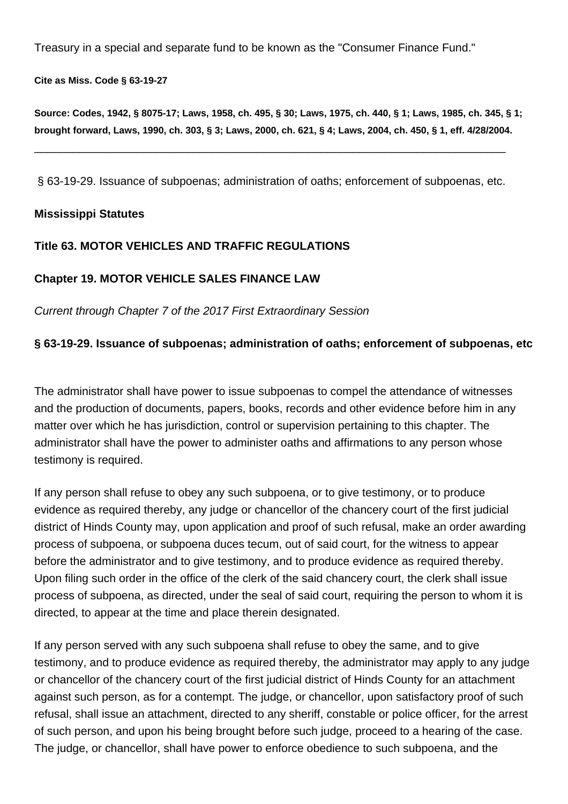Treasury in a special and separate fund to be known as the "Consumer Finance Fund."

**Cite as Miss. Code § 63-19-27**

**Source: Codes, 1942, § 8075-17; Laws, 1958, ch. 495, § 30; Laws, 1975, ch. 440, § 1; Laws, 1985, ch. 345, § 1; brought forward, Laws, 1990, ch. 303, § 3; Laws, 2000, ch. 621, § 4; Laws, 2004, ch. 450, § 1, eff. 4/28/2004.**

§ 63-19-29. Issuance of subpoenas; administration of oaths; enforcement of subpoenas, etc.

\_\_\_\_\_\_\_\_\_\_\_\_\_\_\_\_\_\_\_\_\_\_\_\_\_\_\_\_\_\_\_\_\_\_\_\_\_\_\_\_\_\_\_\_\_\_\_\_\_\_\_\_\_\_\_\_\_\_\_\_\_\_\_\_\_\_\_\_\_\_\_\_\_\_

## **Mississippi Statutes**

## **Title 63. MOTOR VEHICLES AND TRAFFIC REGULATIONS**

## **Chapter 19. MOTOR VEHICLE SALES FINANCE LAW**

Current through Chapter 7 of the 2017 First Extraordinary Session

## **§ 63-19-29. Issuance of subpoenas; administration of oaths; enforcement of subpoenas, etc**

The administrator shall have power to issue subpoenas to compel the attendance of witnesses and the production of documents, papers, books, records and other evidence before him in any matter over which he has jurisdiction, control or supervision pertaining to this chapter. The administrator shall have the power to administer oaths and affirmations to any person whose testimony is required.

If any person shall refuse to obey any such subpoena, or to give testimony, or to produce evidence as required thereby, any judge or chancellor of the chancery court of the first judicial district of Hinds County may, upon application and proof of such refusal, make an order awarding process of subpoena, or subpoena duces tecum, out of said court, for the witness to appear before the administrator and to give testimony, and to produce evidence as required thereby. Upon filing such order in the office of the clerk of the said chancery court, the clerk shall issue process of subpoena, as directed, under the seal of said court, requiring the person to whom it is directed, to appear at the time and place therein designated.

If any person served with any such subpoena shall refuse to obey the same, and to give testimony, and to produce evidence as required thereby, the administrator may apply to any judge or chancellor of the chancery court of the first judicial district of Hinds County for an attachment against such person, as for a contempt. The judge, or chancellor, upon satisfactory proof of such refusal, shall issue an attachment, directed to any sheriff, constable or police officer, for the arrest of such person, and upon his being brought before such judge, proceed to a hearing of the case. The judge, or chancellor, shall have power to enforce obedience to such subpoena, and the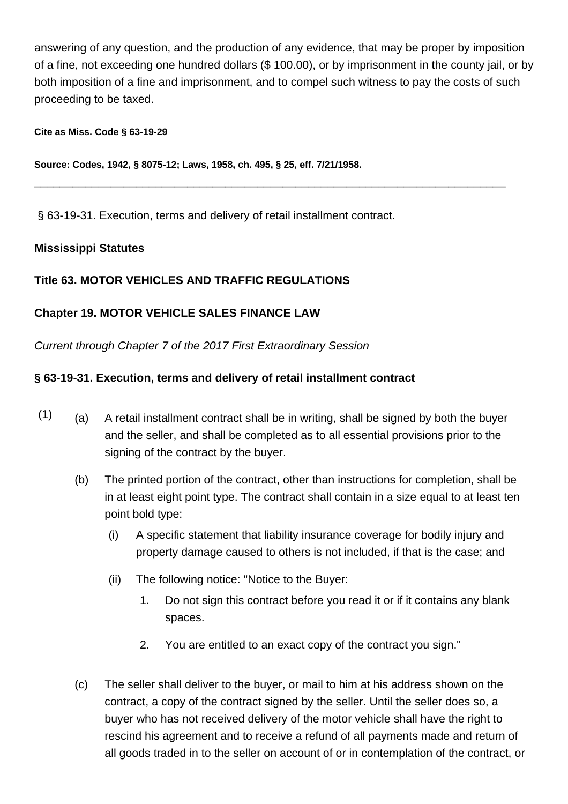answering of any question, and the production of any evidence, that may be proper by imposition of a fine, not exceeding one hundred dollars (\$ 100.00), or by imprisonment in the county jail, or by both imposition of a fine and imprisonment, and to compel such witness to pay the costs of such proceeding to be taxed.

\_\_\_\_\_\_\_\_\_\_\_\_\_\_\_\_\_\_\_\_\_\_\_\_\_\_\_\_\_\_\_\_\_\_\_\_\_\_\_\_\_\_\_\_\_\_\_\_\_\_\_\_\_\_\_\_\_\_\_\_\_\_\_\_\_\_\_\_\_\_\_\_\_\_

#### **Cite as Miss. Code § 63-19-29**

**Source: Codes, 1942, § 8075-12; Laws, 1958, ch. 495, § 25, eff. 7/21/1958.**

§ 63-19-31. Execution, terms and delivery of retail installment contract.

## **Mississippi Statutes**

# **Title 63. MOTOR VEHICLES AND TRAFFIC REGULATIONS**

# **Chapter 19. MOTOR VEHICLE SALES FINANCE LAW**

Current through Chapter 7 of the 2017 First Extraordinary Session

# **§ 63-19-31. Execution, terms and delivery of retail installment contract**

- $(1)$  (a) A retail installment contract shall be in writing, shall be signed by both the buyer and the seller, and shall be completed as to all essential provisions prior to the signing of the contract by the buyer.
	- (b) The printed portion of the contract, other than instructions for completion, shall be in at least eight point type. The contract shall contain in a size equal to at least ten point bold type:
		- (i) A specific statement that liability insurance coverage for bodily injury and property damage caused to others is not included, if that is the case; and
		- (ii) The following notice: "Notice to the Buyer:
			- 1. Do not sign this contract before you read it or if it contains any blank spaces.
			- 2. You are entitled to an exact copy of the contract you sign."
	- (c) The seller shall deliver to the buyer, or mail to him at his address shown on the contract, a copy of the contract signed by the seller. Until the seller does so, a buyer who has not received delivery of the motor vehicle shall have the right to rescind his agreement and to receive a refund of all payments made and return of all goods traded in to the seller on account of or in contemplation of the contract, or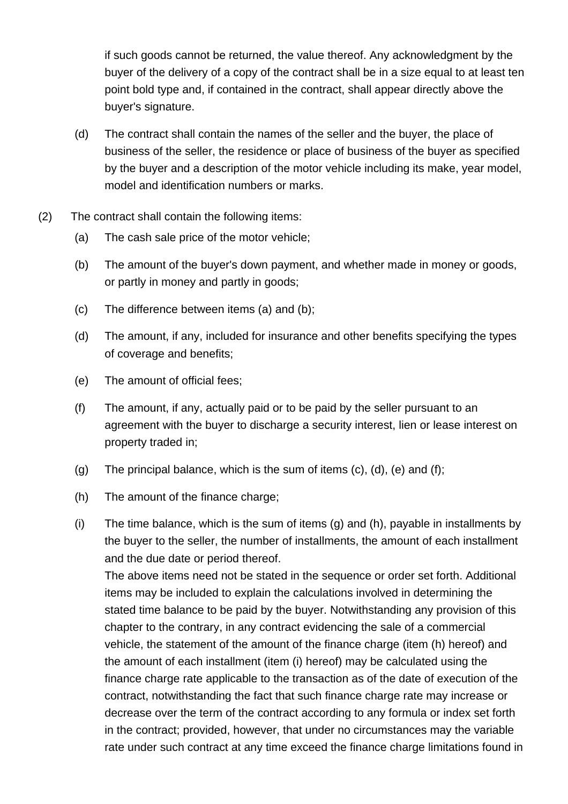if such goods cannot be returned, the value thereof. Any acknowledgment by the buyer of the delivery of a copy of the contract shall be in a size equal to at least ten point bold type and, if contained in the contract, shall appear directly above the buyer's signature.

- (d) The contract shall contain the names of the seller and the buyer, the place of business of the seller, the residence or place of business of the buyer as specified by the buyer and a description of the motor vehicle including its make, year model, model and identification numbers or marks.
- (2) The contract shall contain the following items:
	- (a) The cash sale price of the motor vehicle;
	- (b) The amount of the buyer's down payment, and whether made in money or goods, or partly in money and partly in goods;
	- (c) The difference between items (a) and (b);
	- (d) The amount, if any, included for insurance and other benefits specifying the types of coverage and benefits;
	- (e) The amount of official fees;
	- (f) The amount, if any, actually paid or to be paid by the seller pursuant to an agreement with the buver to discharge a security interest, lien or lease interest on property traded in;
	- (g) The principal balance, which is the sum of items  $(c)$ ,  $(d)$ ,  $(e)$  and  $(f)$ ;
	- (h) The amount of the finance charge;
	- (i) The time balance, which is the sum of items (g) and (h), payable in installments by the buyer to the seller, the number of installments, the amount of each installment and the due date or period thereof.

The above items need not be stated in the sequence or order set forth. Additional items may be included to explain the calculations involved in determining the stated time balance to be paid by the buyer. Notwithstanding any provision of this chapter to the contrary, in any contract evidencing the sale of a commercial vehicle, the statement of the amount of the finance charge (item (h) hereof) and the amount of each installment (item (i) hereof) may be calculated using the finance charge rate applicable to the transaction as of the date of execution of the contract, notwithstanding the fact that such finance charge rate may increase or decrease over the term of the contract according to any formula or index set forth in the contract; provided, however, that under no circumstances may the variable rate under such contract at any time exceed the finance charge limitations found in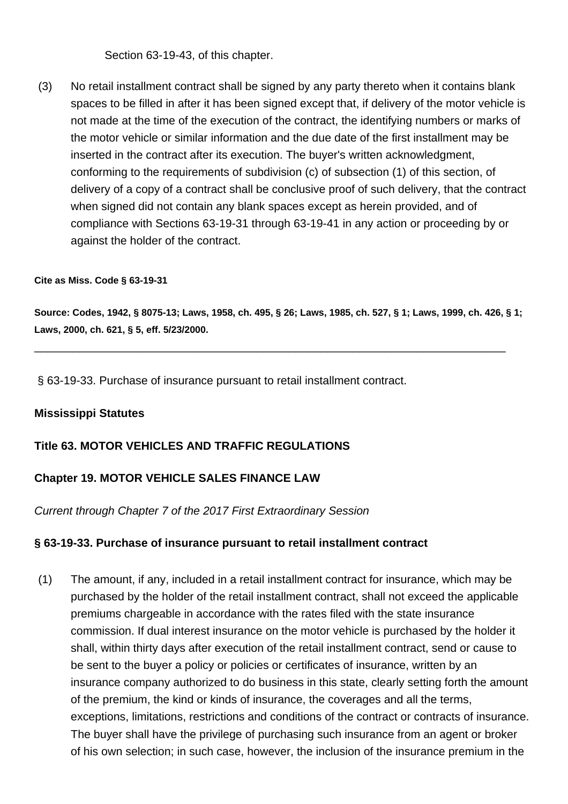Section 63-19-43, of this chapter.

(3) No retail installment contract shall be signed by any party thereto when it contains blank spaces to be filled in after it has been signed except that, if delivery of the motor vehicle is not made at the time of the execution of the contract, the identifying numbers or marks of the motor vehicle or similar information and the due date of the first installment may be inserted in the contract after its execution. The buyer's written acknowledgment, conforming to the requirements of subdivision (c) of subsection (1) of this section, of delivery of a copy of a contract shall be conclusive proof of such delivery, that the contract when signed did not contain any blank spaces except as herein provided, and of compliance with Sections 63-19-31 through 63-19-41 in any action or proceeding by or against the holder of the contract.

#### **Cite as Miss. Code § 63-19-31**

**Source: Codes, 1942, § 8075-13; Laws, 1958, ch. 495, § 26; Laws, 1985, ch. 527, § 1; Laws, 1999, ch. 426, § 1; Laws, 2000, ch. 621, § 5, eff. 5/23/2000.**

\_\_\_\_\_\_\_\_\_\_\_\_\_\_\_\_\_\_\_\_\_\_\_\_\_\_\_\_\_\_\_\_\_\_\_\_\_\_\_\_\_\_\_\_\_\_\_\_\_\_\_\_\_\_\_\_\_\_\_\_\_\_\_\_\_\_\_\_\_\_\_\_\_\_

§ 63-19-33. Purchase of insurance pursuant to retail installment contract.

## **Mississippi Statutes**

# **Title 63. MOTOR VEHICLES AND TRAFFIC REGULATIONS**

## **Chapter 19. MOTOR VEHICLE SALES FINANCE LAW**

Current through Chapter 7 of the 2017 First Extraordinary Session

## **§ 63-19-33. Purchase of insurance pursuant to retail installment contract**

(1) The amount, if any, included in a retail installment contract for insurance, which may be purchased by the holder of the retail installment contract, shall not exceed the applicable premiums chargeable in accordance with the rates filed with the state insurance commission. If dual interest insurance on the motor vehicle is purchased by the holder it shall, within thirty days after execution of the retail installment contract, send or cause to be sent to the buyer a policy or policies or certificates of insurance, written by an insurance company authorized to do business in this state, clearly setting forth the amount of the premium, the kind or kinds of insurance, the coverages and all the terms, exceptions, limitations, restrictions and conditions of the contract or contracts of insurance. The buyer shall have the privilege of purchasing such insurance from an agent or broker of his own selection; in such case, however, the inclusion of the insurance premium in the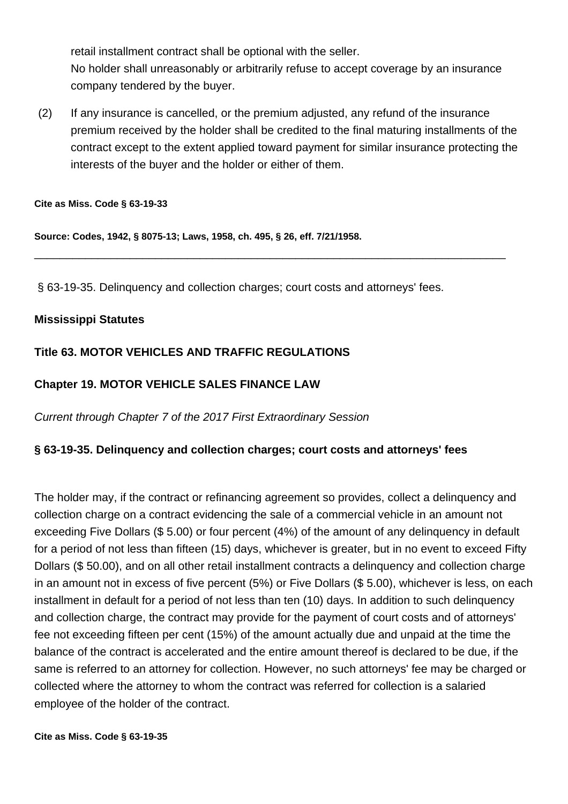retail installment contract shall be optional with the seller. No holder shall unreasonably or arbitrarily refuse to accept coverage by an insurance company tendered by the buyer.

(2) If any insurance is cancelled, or the premium adjusted, any refund of the insurance premium received by the holder shall be credited to the final maturing installments of the contract except to the extent applied toward payment for similar insurance protecting the interests of the buyer and the holder or either of them.

\_\_\_\_\_\_\_\_\_\_\_\_\_\_\_\_\_\_\_\_\_\_\_\_\_\_\_\_\_\_\_\_\_\_\_\_\_\_\_\_\_\_\_\_\_\_\_\_\_\_\_\_\_\_\_\_\_\_\_\_\_\_\_\_\_\_\_\_\_\_\_\_\_\_

**Cite as Miss. Code § 63-19-33**

**Source: Codes, 1942, § 8075-13; Laws, 1958, ch. 495, § 26, eff. 7/21/1958.**

§ 63-19-35. Delinquency and collection charges; court costs and attorneys' fees.

## **Mississippi Statutes**

# **Title 63. MOTOR VEHICLES AND TRAFFIC REGULATIONS**

# **Chapter 19. MOTOR VEHICLE SALES FINANCE LAW**

Current through Chapter 7 of the 2017 First Extraordinary Session

# **§ 63-19-35. Delinquency and collection charges; court costs and attorneys' fees**

The holder may, if the contract or refinancing agreement so provides, collect a delinquency and collection charge on a contract evidencing the sale of a commercial vehicle in an amount not exceeding Five Dollars (\$ 5.00) or four percent (4%) of the amount of any delinquency in default for a period of not less than fifteen (15) days, whichever is greater, but in no event to exceed Fifty Dollars (\$ 50.00), and on all other retail installment contracts a delinquency and collection charge in an amount not in excess of five percent (5%) or Five Dollars (\$ 5.00), whichever is less, on each installment in default for a period of not less than ten (10) days. In addition to such delinquency and collection charge, the contract may provide for the payment of court costs and of attorneys' fee not exceeding fifteen per cent (15%) of the amount actually due and unpaid at the time the balance of the contract is accelerated and the entire amount thereof is declared to be due, if the same is referred to an attorney for collection. However, no such attorneys' fee may be charged or collected where the attorney to whom the contract was referred for collection is a salaried employee of the holder of the contract.

**Cite as Miss. Code § 63-19-35**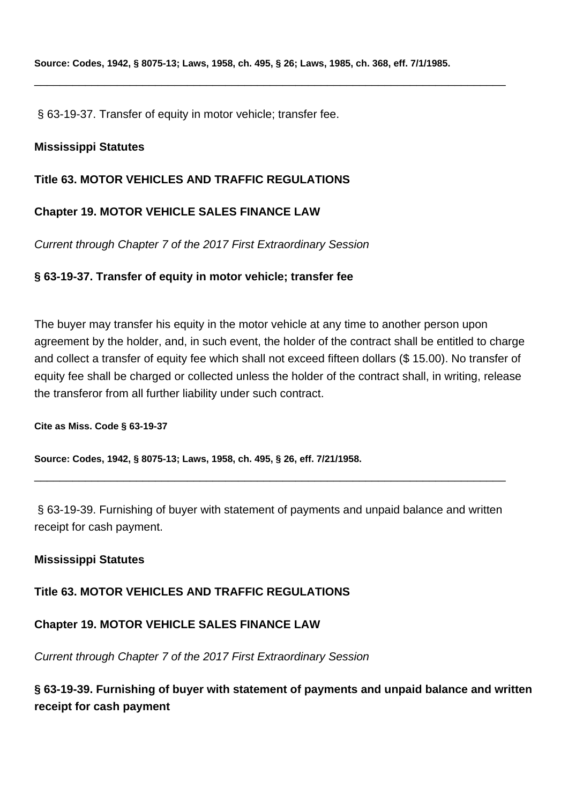\_\_\_\_\_\_\_\_\_\_\_\_\_\_\_\_\_\_\_\_\_\_\_\_\_\_\_\_\_\_\_\_\_\_\_\_\_\_\_\_\_\_\_\_\_\_\_\_\_\_\_\_\_\_\_\_\_\_\_\_\_\_\_\_\_\_\_\_\_\_\_\_\_\_

§ 63-19-37. Transfer of equity in motor vehicle; transfer fee.

## **Mississippi Statutes**

## **Title 63. MOTOR VEHICLES AND TRAFFIC REGULATIONS**

## **Chapter 19. MOTOR VEHICLE SALES FINANCE LAW**

Current through Chapter 7 of the 2017 First Extraordinary Session

## **§ 63-19-37. Transfer of equity in motor vehicle; transfer fee**

The buyer may transfer his equity in the motor vehicle at any time to another person upon agreement by the holder, and, in such event, the holder of the contract shall be entitled to charge and collect a transfer of equity fee which shall not exceed fifteen dollars (\$ 15.00). No transfer of equity fee shall be charged or collected unless the holder of the contract shall, in writing, release the transferor from all further liability under such contract.

**Cite as Miss. Code § 63-19-37**

**Source: Codes, 1942, § 8075-13; Laws, 1958, ch. 495, § 26, eff. 7/21/1958.**

§ 63-19-39. Furnishing of buyer with statement of payments and unpaid balance and written receipt for cash payment.

\_\_\_\_\_\_\_\_\_\_\_\_\_\_\_\_\_\_\_\_\_\_\_\_\_\_\_\_\_\_\_\_\_\_\_\_\_\_\_\_\_\_\_\_\_\_\_\_\_\_\_\_\_\_\_\_\_\_\_\_\_\_\_\_\_\_\_\_\_\_\_\_\_\_

## **Mississippi Statutes**

## **Title 63. MOTOR VEHICLES AND TRAFFIC REGULATIONS**

# **Chapter 19. MOTOR VEHICLE SALES FINANCE LAW**

Current through Chapter 7 of the 2017 First Extraordinary Session

**§ 63-19-39. Furnishing of buyer with statement of payments and unpaid balance and written receipt for cash payment**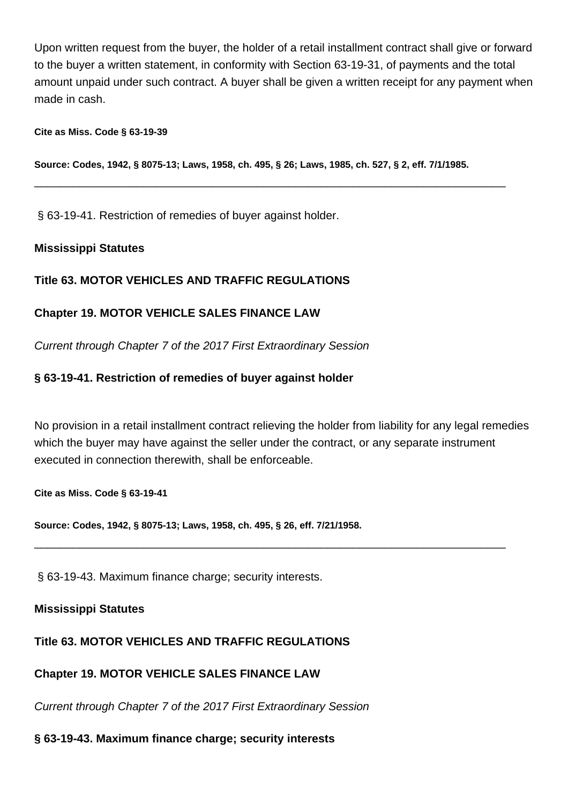Upon written request from the buyer, the holder of a retail installment contract shall give or forward to the buyer a written statement, in conformity with Section 63-19-31, of payments and the total amount unpaid under such contract. A buyer shall be given a written receipt for any payment when made in cash.

#### **Cite as Miss. Code § 63-19-39**

**Source: Codes, 1942, § 8075-13; Laws, 1958, ch. 495, § 26; Laws, 1985, ch. 527, § 2, eff. 7/1/1985.**

\_\_\_\_\_\_\_\_\_\_\_\_\_\_\_\_\_\_\_\_\_\_\_\_\_\_\_\_\_\_\_\_\_\_\_\_\_\_\_\_\_\_\_\_\_\_\_\_\_\_\_\_\_\_\_\_\_\_\_\_\_\_\_\_\_\_\_\_\_\_\_\_\_\_

§ 63-19-41. Restriction of remedies of buyer against holder.

#### **Mississippi Statutes**

## **Title 63. MOTOR VEHICLES AND TRAFFIC REGULATIONS**

## **Chapter 19. MOTOR VEHICLE SALES FINANCE LAW**

Current through Chapter 7 of the 2017 First Extraordinary Session

## **§ 63-19-41. Restriction of remedies of buyer against holder**

No provision in a retail installment contract relieving the holder from liability for any legal remedies which the buyer may have against the seller under the contract, or any separate instrument executed in connection therewith, shall be enforceable.

\_\_\_\_\_\_\_\_\_\_\_\_\_\_\_\_\_\_\_\_\_\_\_\_\_\_\_\_\_\_\_\_\_\_\_\_\_\_\_\_\_\_\_\_\_\_\_\_\_\_\_\_\_\_\_\_\_\_\_\_\_\_\_\_\_\_\_\_\_\_\_\_\_\_

**Cite as Miss. Code § 63-19-41**

**Source: Codes, 1942, § 8075-13; Laws, 1958, ch. 495, § 26, eff. 7/21/1958.**

§ 63-19-43. Maximum finance charge; security interests.

## **Mississippi Statutes**

## **Title 63. MOTOR VEHICLES AND TRAFFIC REGULATIONS**

## **Chapter 19. MOTOR VEHICLE SALES FINANCE LAW**

Current through Chapter 7 of the 2017 First Extraordinary Session

#### **§ 63-19-43. Maximum finance charge; security interests**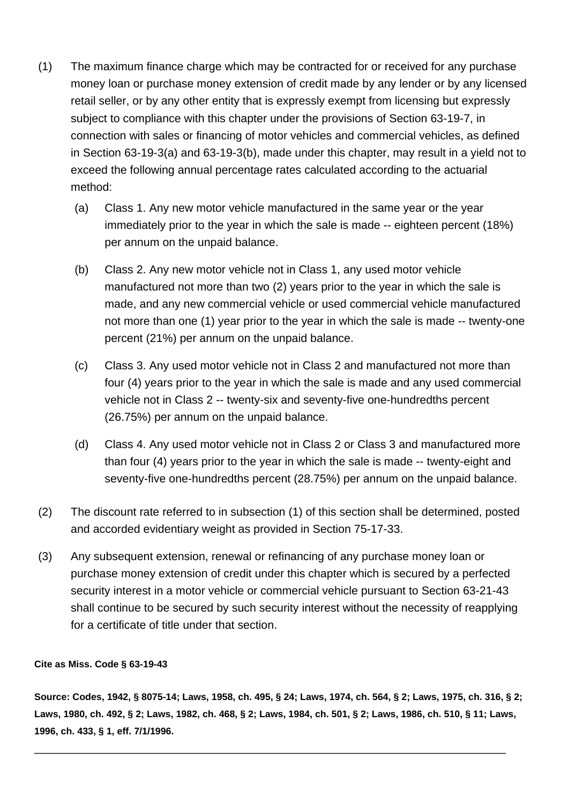- (1) The maximum finance charge which may be contracted for or received for any purchase money loan or purchase money extension of credit made by any lender or by any licensed retail seller, or by any other entity that is expressly exempt from licensing but expressly subject to compliance with this chapter under the provisions of Section 63-19-7, in connection with sales or financing of motor vehicles and commercial vehicles, as defined in Section 63-19-3(a) and 63-19-3(b), made under this chapter, may result in a yield not to exceed the following annual percentage rates calculated according to the actuarial method:
	- (a) Class 1. Any new motor vehicle manufactured in the same year or the year immediately prior to the year in which the sale is made -- eighteen percent (18%) per annum on the unpaid balance.
	- (b) Class 2. Any new motor vehicle not in Class 1, any used motor vehicle manufactured not more than two (2) years prior to the year in which the sale is made, and any new commercial vehicle or used commercial vehicle manufactured not more than one (1) year prior to the year in which the sale is made -- twenty-one percent (21%) per annum on the unpaid balance.
	- (c) Class 3. Any used motor vehicle not in Class 2 and manufactured not more than four (4) years prior to the year in which the sale is made and any used commercial vehicle not in Class 2 -- twenty-six and seventy-five one-hundredths percent (26.75%) per annum on the unpaid balance.
	- (d) Class 4. Any used motor vehicle not in Class 2 or Class 3 and manufactured more than four (4) years prior to the year in which the sale is made -- twenty-eight and seventy-five one-hundredths percent (28.75%) per annum on the unpaid balance.
- (2) The discount rate referred to in subsection (1) of this section shall be determined, posted and accorded evidentiary weight as provided in Section 75-17-33.
- (3) Any subsequent extension, renewal or refinancing of any purchase money loan or purchase money extension of credit under this chapter which is secured by a perfected security interest in a motor vehicle or commercial vehicle pursuant to Section 63-21-43 shall continue to be secured by such security interest without the necessity of reapplying for a certificate of title under that section.

#### **Cite as Miss. Code § 63-19-43**

**Source: Codes, 1942, § 8075-14; Laws, 1958, ch. 495, § 24; Laws, 1974, ch. 564, § 2; Laws, 1975, ch. 316, § 2; Laws, 1980, ch. 492, § 2; Laws, 1982, ch. 468, § 2; Laws, 1984, ch. 501, § 2; Laws, 1986, ch. 510, § 11; Laws, 1996, ch. 433, § 1, eff. 7/1/1996.**

\_\_\_\_\_\_\_\_\_\_\_\_\_\_\_\_\_\_\_\_\_\_\_\_\_\_\_\_\_\_\_\_\_\_\_\_\_\_\_\_\_\_\_\_\_\_\_\_\_\_\_\_\_\_\_\_\_\_\_\_\_\_\_\_\_\_\_\_\_\_\_\_\_\_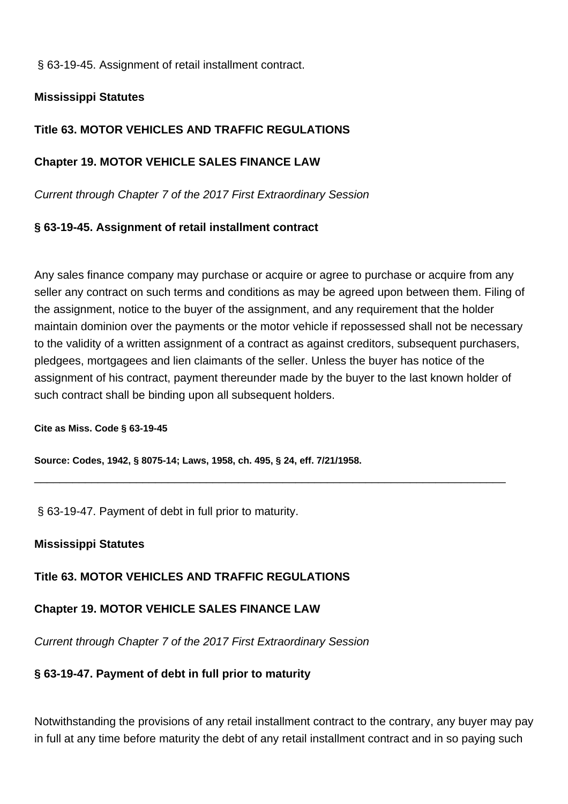§ 63-19-45. Assignment of retail installment contract.

## **Mississippi Statutes**

# **Title 63. MOTOR VEHICLES AND TRAFFIC REGULATIONS**

## **Chapter 19. MOTOR VEHICLE SALES FINANCE LAW**

Current through Chapter 7 of the 2017 First Extraordinary Session

## **§ 63-19-45. Assignment of retail installment contract**

Any sales finance company may purchase or acquire or agree to purchase or acquire from any seller any contract on such terms and conditions as may be agreed upon between them. Filing of the assignment, notice to the buyer of the assignment, and any requirement that the holder maintain dominion over the payments or the motor vehicle if repossessed shall not be necessary to the validity of a written assignment of a contract as against creditors, subsequent purchasers, pledgees, mortgagees and lien claimants of the seller. Unless the buyer has notice of the assignment of his contract, payment thereunder made by the buyer to the last known holder of such contract shall be binding upon all subsequent holders.

\_\_\_\_\_\_\_\_\_\_\_\_\_\_\_\_\_\_\_\_\_\_\_\_\_\_\_\_\_\_\_\_\_\_\_\_\_\_\_\_\_\_\_\_\_\_\_\_\_\_\_\_\_\_\_\_\_\_\_\_\_\_\_\_\_\_\_\_\_\_\_\_\_\_

#### **Cite as Miss. Code § 63-19-45**

**Source: Codes, 1942, § 8075-14; Laws, 1958, ch. 495, § 24, eff. 7/21/1958.**

§ 63-19-47. Payment of debt in full prior to maturity.

## **Mississippi Statutes**

# **Title 63. MOTOR VEHICLES AND TRAFFIC REGULATIONS**

# **Chapter 19. MOTOR VEHICLE SALES FINANCE LAW**

Current through Chapter 7 of the 2017 First Extraordinary Session

## **§ 63-19-47. Payment of debt in full prior to maturity**

Notwithstanding the provisions of any retail installment contract to the contrary, any buyer may pay in full at any time before maturity the debt of any retail installment contract and in so paying such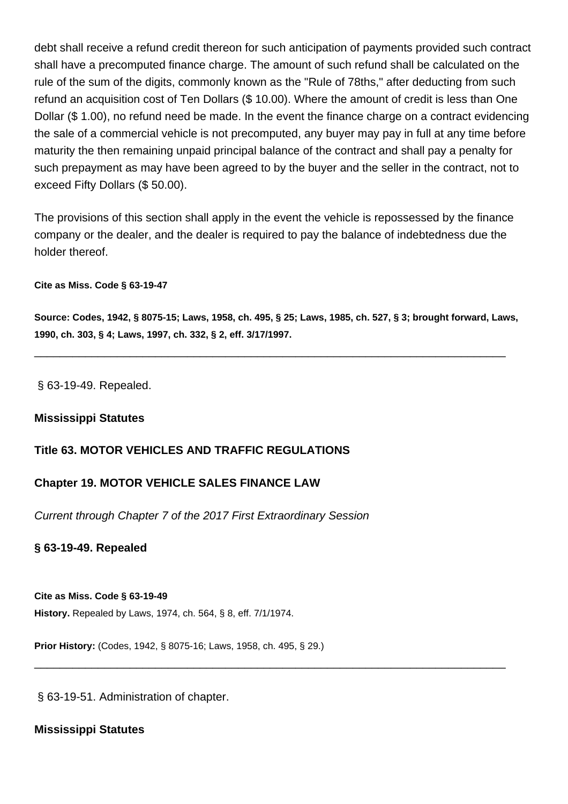debt shall receive a refund credit thereon for such anticipation of payments provided such contract shall have a precomputed finance charge. The amount of such refund shall be calculated on the rule of the sum of the digits, commonly known as the "Rule of 78ths," after deducting from such refund an acquisition cost of Ten Dollars (\$ 10.00). Where the amount of credit is less than One Dollar (\$ 1.00), no refund need be made. In the event the finance charge on a contract evidencing the sale of a commercial vehicle is not precomputed, any buyer may pay in full at any time before maturity the then remaining unpaid principal balance of the contract and shall pay a penalty for such prepayment as may have been agreed to by the buyer and the seller in the contract, not to exceed Fifty Dollars (\$ 50.00).

The provisions of this section shall apply in the event the vehicle is repossessed by the finance company or the dealer, and the dealer is required to pay the balance of indebtedness due the holder thereof.

#### **Cite as Miss. Code § 63-19-47**

**Source: Codes, 1942, § 8075-15; Laws, 1958, ch. 495, § 25; Laws, 1985, ch. 527, § 3; brought forward, Laws, 1990, ch. 303, § 4; Laws, 1997, ch. 332, § 2, eff. 3/17/1997.**

\_\_\_\_\_\_\_\_\_\_\_\_\_\_\_\_\_\_\_\_\_\_\_\_\_\_\_\_\_\_\_\_\_\_\_\_\_\_\_\_\_\_\_\_\_\_\_\_\_\_\_\_\_\_\_\_\_\_\_\_\_\_\_\_\_\_\_\_\_\_\_\_\_\_

\_\_\_\_\_\_\_\_\_\_\_\_\_\_\_\_\_\_\_\_\_\_\_\_\_\_\_\_\_\_\_\_\_\_\_\_\_\_\_\_\_\_\_\_\_\_\_\_\_\_\_\_\_\_\_\_\_\_\_\_\_\_\_\_\_\_\_\_\_\_\_\_\_\_

§ 63-19-49. Repealed.

#### **Mississippi Statutes**

## **Title 63. MOTOR VEHICLES AND TRAFFIC REGULATIONS**

## **Chapter 19. MOTOR VEHICLE SALES FINANCE LAW**

Current through Chapter 7 of the 2017 First Extraordinary Session

#### **§ 63-19-49. Repealed**

**Cite as Miss. Code § 63-19-49 History.** Repealed by Laws, 1974, ch. 564, § 8, eff. 7/1/1974.

**Prior History:** (Codes, 1942, § 8075-16; Laws, 1958, ch. 495, § 29.)

§ 63-19-51. Administration of chapter.

## **Mississippi Statutes**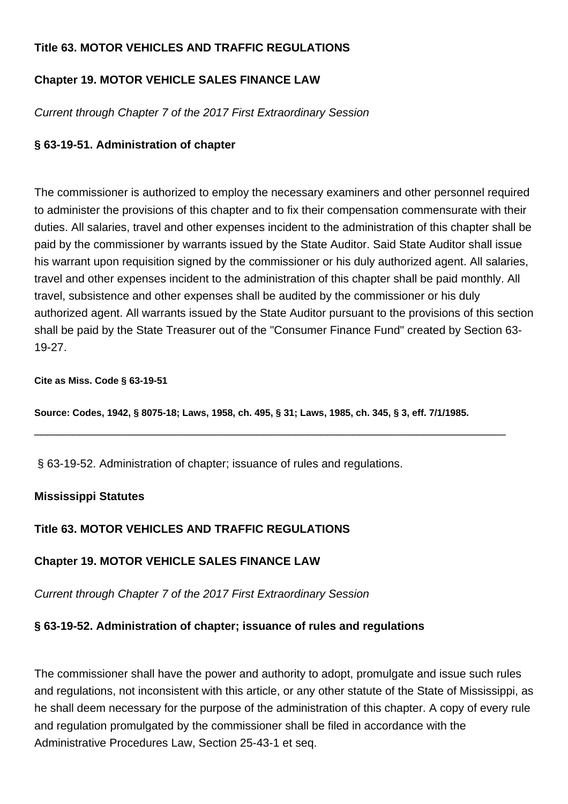# **Title 63. MOTOR VEHICLES AND TRAFFIC REGULATIONS**

# **Chapter 19. MOTOR VEHICLE SALES FINANCE LAW**

Current through Chapter 7 of the 2017 First Extraordinary Session

# **§ 63-19-51. Administration of chapter**

The commissioner is authorized to employ the necessary examiners and other personnel required to administer the provisions of this chapter and to fix their compensation commensurate with their duties. All salaries, travel and other expenses incident to the administration of this chapter shall be paid by the commissioner by warrants issued by the State Auditor. Said State Auditor shall issue his warrant upon requisition signed by the commissioner or his duly authorized agent. All salaries, travel and other expenses incident to the administration of this chapter shall be paid monthly. All travel, subsistence and other expenses shall be audited by the commissioner or his duly authorized agent. All warrants issued by the State Auditor pursuant to the provisions of this section shall be paid by the State Treasurer out of the "Consumer Finance Fund" created by Section 63- 19-27.

#### **Cite as Miss. Code § 63-19-51**

**Source: Codes, 1942, § 8075-18; Laws, 1958, ch. 495, § 31; Laws, 1985, ch. 345, § 3, eff. 7/1/1985.**

\_\_\_\_\_\_\_\_\_\_\_\_\_\_\_\_\_\_\_\_\_\_\_\_\_\_\_\_\_\_\_\_\_\_\_\_\_\_\_\_\_\_\_\_\_\_\_\_\_\_\_\_\_\_\_\_\_\_\_\_\_\_\_\_\_\_\_\_\_\_\_\_\_\_

§ 63-19-52. Administration of chapter; issuance of rules and regulations.

# **Mississippi Statutes**

# **Title 63. MOTOR VEHICLES AND TRAFFIC REGULATIONS**

# **Chapter 19. MOTOR VEHICLE SALES FINANCE LAW**

Current through Chapter 7 of the 2017 First Extraordinary Session

# **§ 63-19-52. Administration of chapter; issuance of rules and regulations**

The commissioner shall have the power and authority to adopt, promulgate and issue such rules and regulations, not inconsistent with this article, or any other statute of the State of Mississippi, as he shall deem necessary for the purpose of the administration of this chapter. A copy of every rule and regulation promulgated by the commissioner shall be filed in accordance with the Administrative Procedures Law, Section 25-43-1 et seq.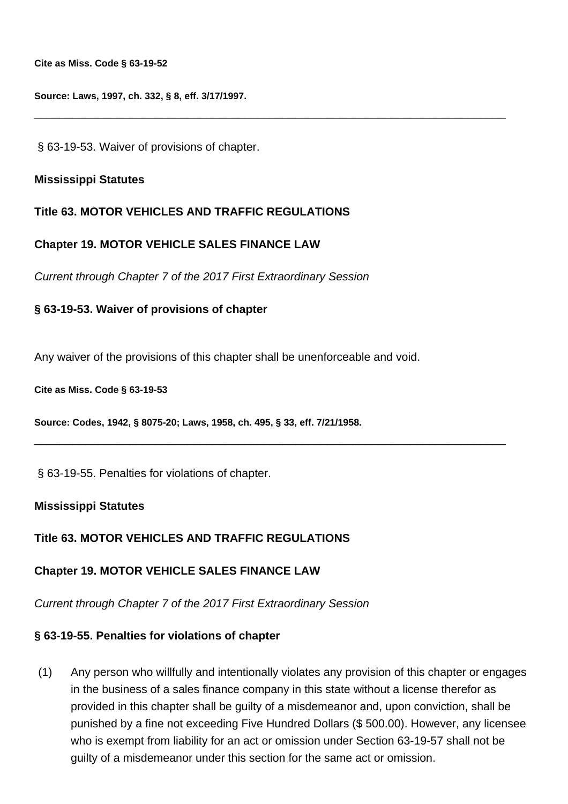**Cite as Miss. Code § 63-19-52**

**Source: Laws, 1997, ch. 332, § 8, eff. 3/17/1997.**

§ 63-19-53. Waiver of provisions of chapter.

#### **Mississippi Statutes**

#### **Title 63. MOTOR VEHICLES AND TRAFFIC REGULATIONS**

#### **Chapter 19. MOTOR VEHICLE SALES FINANCE LAW**

Current through Chapter 7 of the 2017 First Extraordinary Session

#### **§ 63-19-53. Waiver of provisions of chapter**

Any waiver of the provisions of this chapter shall be unenforceable and void.

\_\_\_\_\_\_\_\_\_\_\_\_\_\_\_\_\_\_\_\_\_\_\_\_\_\_\_\_\_\_\_\_\_\_\_\_\_\_\_\_\_\_\_\_\_\_\_\_\_\_\_\_\_\_\_\_\_\_\_\_\_\_\_\_\_\_\_\_\_\_\_\_\_\_

\_\_\_\_\_\_\_\_\_\_\_\_\_\_\_\_\_\_\_\_\_\_\_\_\_\_\_\_\_\_\_\_\_\_\_\_\_\_\_\_\_\_\_\_\_\_\_\_\_\_\_\_\_\_\_\_\_\_\_\_\_\_\_\_\_\_\_\_\_\_\_\_\_\_

**Cite as Miss. Code § 63-19-53**

**Source: Codes, 1942, § 8075-20; Laws, 1958, ch. 495, § 33, eff. 7/21/1958.**

§ 63-19-55. Penalties for violations of chapter.

#### **Mississippi Statutes**

#### **Title 63. MOTOR VEHICLES AND TRAFFIC REGULATIONS**

#### **Chapter 19. MOTOR VEHICLE SALES FINANCE LAW**

Current through Chapter 7 of the 2017 First Extraordinary Session

#### **§ 63-19-55. Penalties for violations of chapter**

(1) Any person who willfully and intentionally violates any provision of this chapter or engages in the business of a sales finance company in this state without a license therefor as provided in this chapter shall be guilty of a misdemeanor and, upon conviction, shall be punished by a fine not exceeding Five Hundred Dollars (\$ 500.00). However, any licensee who is exempt from liability for an act or omission under Section 63-19-57 shall not be guilty of a misdemeanor under this section for the same act or omission.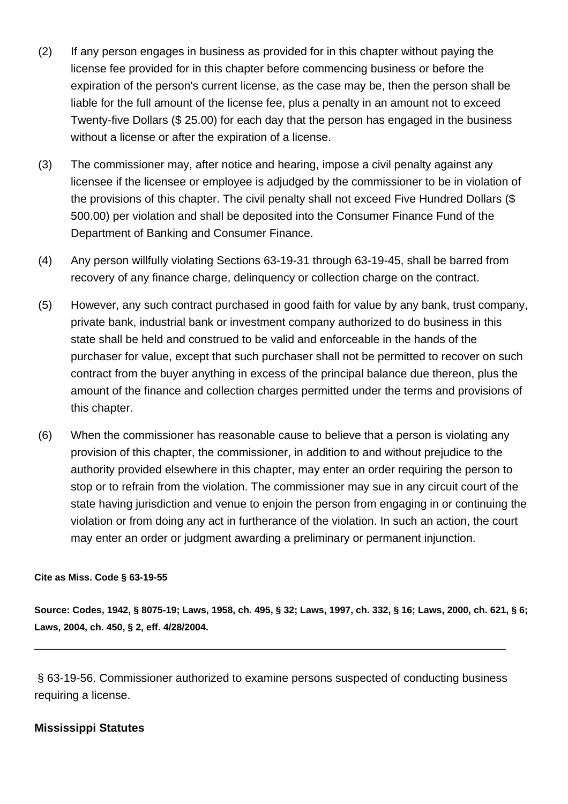- (2) If any person engages in business as provided for in this chapter without paying the license fee provided for in this chapter before commencing business or before the expiration of the person's current license, as the case may be, then the person shall be liable for the full amount of the license fee, plus a penalty in an amount not to exceed Twenty-five Dollars (\$ 25.00) for each day that the person has engaged in the business without a license or after the expiration of a license.
- (3) The commissioner may, after notice and hearing, impose a civil penalty against any licensee if the licensee or employee is adjudged by the commissioner to be in violation of the provisions of this chapter. The civil penalty shall not exceed Five Hundred Dollars (\$ 500.00) per violation and shall be deposited into the Consumer Finance Fund of the Department of Banking and Consumer Finance.
- (4) Any person willfully violating Sections 63-19-31 through 63-19-45, shall be barred from recovery of any finance charge, delinquency or collection charge on the contract.
- (5) However, any such contract purchased in good faith for value by any bank, trust company, private bank, industrial bank or investment company authorized to do business in this state shall be held and construed to be valid and enforceable in the hands of the purchaser for value, except that such purchaser shall not be permitted to recover on such contract from the buyer anything in excess of the principal balance due thereon, plus the amount of the finance and collection charges permitted under the terms and provisions of this chapter.
- (6) When the commissioner has reasonable cause to believe that a person is violating any provision of this chapter, the commissioner, in addition to and without prejudice to the authority provided elsewhere in this chapter, may enter an order requiring the person to stop or to refrain from the violation. The commissioner may sue in any circuit court of the state having jurisdiction and venue to enjoin the person from engaging in or continuing the violation or from doing any act in furtherance of the violation. In such an action, the court may enter an order or judgment awarding a preliminary or permanent injunction.

#### **Cite as Miss. Code § 63-19-55**

**Source: Codes, 1942, § 8075-19; Laws, 1958, ch. 495, § 32; Laws, 1997, ch. 332, § 16; Laws, 2000, ch. 621, § 6; Laws, 2004, ch. 450, § 2, eff. 4/28/2004.**

§ 63-19-56. Commissioner authorized to examine persons suspected of conducting business requiring a license.

\_\_\_\_\_\_\_\_\_\_\_\_\_\_\_\_\_\_\_\_\_\_\_\_\_\_\_\_\_\_\_\_\_\_\_\_\_\_\_\_\_\_\_\_\_\_\_\_\_\_\_\_\_\_\_\_\_\_\_\_\_\_\_\_\_\_\_\_\_\_\_\_\_\_

## **Mississippi Statutes**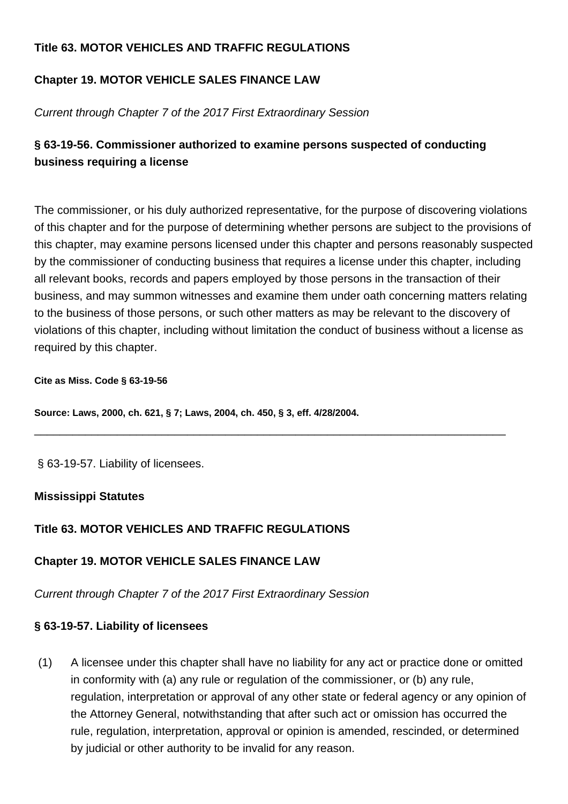# **Title 63. MOTOR VEHICLES AND TRAFFIC REGULATIONS**

# **Chapter 19. MOTOR VEHICLE SALES FINANCE LAW**

Current through Chapter 7 of the 2017 First Extraordinary Session

# **§ 63-19-56. Commissioner authorized to examine persons suspected of conducting business requiring a license**

The commissioner, or his duly authorized representative, for the purpose of discovering violations of this chapter and for the purpose of determining whether persons are subject to the provisions of this chapter, may examine persons licensed under this chapter and persons reasonably suspected by the commissioner of conducting business that requires a license under this chapter, including all relevant books, records and papers employed by those persons in the transaction of their business, and may summon witnesses and examine them under oath concerning matters relating to the business of those persons, or such other matters as may be relevant to the discovery of violations of this chapter, including without limitation the conduct of business without a license as required by this chapter.

\_\_\_\_\_\_\_\_\_\_\_\_\_\_\_\_\_\_\_\_\_\_\_\_\_\_\_\_\_\_\_\_\_\_\_\_\_\_\_\_\_\_\_\_\_\_\_\_\_\_\_\_\_\_\_\_\_\_\_\_\_\_\_\_\_\_\_\_\_\_\_\_\_\_

#### **Cite as Miss. Code § 63-19-56**

**Source: Laws, 2000, ch. 621, § 7; Laws, 2004, ch. 450, § 3, eff. 4/28/2004.**

§ 63-19-57. Liability of licensees.

# **Mississippi Statutes**

# **Title 63. MOTOR VEHICLES AND TRAFFIC REGULATIONS**

# **Chapter 19. MOTOR VEHICLE SALES FINANCE LAW**

Current through Chapter 7 of the 2017 First Extraordinary Session

# **§ 63-19-57. Liability of licensees**

(1) A licensee under this chapter shall have no liability for any act or practice done or omitted in conformity with (a) any rule or regulation of the commissioner, or (b) any rule, regulation, interpretation or approval of any other state or federal agency or any opinion of the Attorney General, notwithstanding that after such act or omission has occurred the rule, regulation, interpretation, approval or opinion is amended, rescinded, or determined by judicial or other authority to be invalid for any reason.